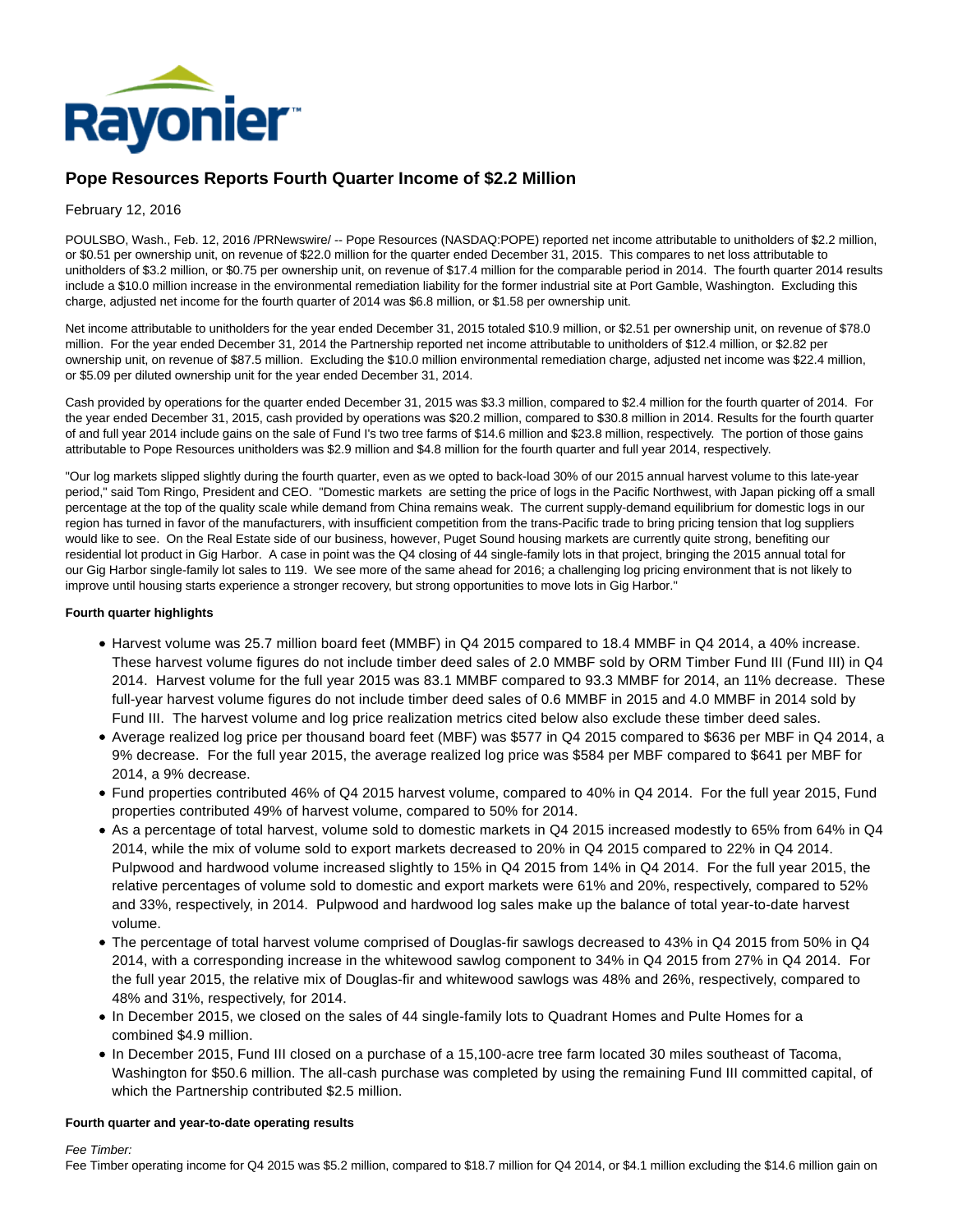

# **Pope Resources Reports Fourth Quarter Income of \$2.2 Million**

## February 12, 2016

POULSBO, Wash., Feb. 12, 2016 /PRNewswire/ -- Pope Resources (NASDAQ:POPE) reported net income attributable to unitholders of \$2.2 million, or \$0.51 per ownership unit, on revenue of \$22.0 million for the quarter ended December 31, 2015. This compares to net loss attributable to unitholders of \$3.2 million, or \$0.75 per ownership unit, on revenue of \$17.4 million for the comparable period in 2014. The fourth quarter 2014 results include a \$10.0 million increase in the environmental remediation liability for the former industrial site at Port Gamble, Washington. Excluding this charge, adjusted net income for the fourth quarter of 2014 was \$6.8 million, or \$1.58 per ownership unit.

Net income attributable to unitholders for the year ended December 31, 2015 totaled \$10.9 million, or \$2.51 per ownership unit, on revenue of \$78.0 million. For the year ended December 31, 2014 the Partnership reported net income attributable to unitholders of \$12.4 million, or \$2.82 per ownership unit, on revenue of \$87.5 million. Excluding the \$10.0 million environmental remediation charge, adjusted net income was \$22.4 million, or \$5.09 per diluted ownership unit for the year ended December 31, 2014.

Cash provided by operations for the quarter ended December 31, 2015 was \$3.3 million, compared to \$2.4 million for the fourth quarter of 2014. For the year ended December 31, 2015, cash provided by operations was \$20.2 million, compared to \$30.8 million in 2014. Results for the fourth quarter of and full year 2014 include gains on the sale of Fund I's two tree farms of \$14.6 million and \$23.8 million, respectively. The portion of those gains attributable to Pope Resources unitholders was \$2.9 million and \$4.8 million for the fourth quarter and full year 2014, respectively.

"Our log markets slipped slightly during the fourth quarter, even as we opted to back-load 30% of our 2015 annual harvest volume to this late-year period," said Tom Ringo, President and CEO. "Domestic markets are setting the price of logs in the Pacific Northwest, with Japan picking off a small percentage at the top of the quality scale while demand from China remains weak. The current supply-demand equilibrium for domestic logs in our region has turned in favor of the manufacturers, with insufficient competition from the trans-Pacific trade to bring pricing tension that log suppliers would like to see. On the Real Estate side of our business, however, Puget Sound housing markets are currently quite strong, benefiting our residential lot product in Gig Harbor. A case in point was the Q4 closing of 44 single-family lots in that project, bringing the 2015 annual total for our Gig Harbor single-family lot sales to 119. We see more of the same ahead for 2016; a challenging log pricing environment that is not likely to improve until housing starts experience a stronger recovery, but strong opportunities to move lots in Gig Harbor."

## **Fourth quarter highlights**

- Harvest volume was 25.7 million board feet (MMBF) in Q4 2015 compared to 18.4 MMBF in Q4 2014, a 40% increase. These harvest volume figures do not include timber deed sales of 2.0 MMBF sold by ORM Timber Fund III (Fund III) in Q4 2014. Harvest volume for the full year 2015 was 83.1 MMBF compared to 93.3 MMBF for 2014, an 11% decrease. These full-year harvest volume figures do not include timber deed sales of 0.6 MMBF in 2015 and 4.0 MMBF in 2014 sold by Fund III. The harvest volume and log price realization metrics cited below also exclude these timber deed sales.
- Average realized log price per thousand board feet (MBF) was \$577 in Q4 2015 compared to \$636 per MBF in Q4 2014, a 9% decrease. For the full year 2015, the average realized log price was \$584 per MBF compared to \$641 per MBF for 2014, a 9% decrease.
- Fund properties contributed 46% of Q4 2015 harvest volume, compared to 40% in Q4 2014. For the full year 2015, Fund properties contributed 49% of harvest volume, compared to 50% for 2014.
- As a percentage of total harvest, volume sold to domestic markets in Q4 2015 increased modestly to 65% from 64% in Q4 2014, while the mix of volume sold to export markets decreased to 20% in Q4 2015 compared to 22% in Q4 2014. Pulpwood and hardwood volume increased slightly to 15% in Q4 2015 from 14% in Q4 2014. For the full year 2015, the relative percentages of volume sold to domestic and export markets were 61% and 20%, respectively, compared to 52% and 33%, respectively, in 2014. Pulpwood and hardwood log sales make up the balance of total year-to-date harvest volume.
- The percentage of total harvest volume comprised of Douglas-fir sawlogs decreased to 43% in Q4 2015 from 50% in Q4 2014, with a corresponding increase in the whitewood sawlog component to 34% in Q4 2015 from 27% in Q4 2014. For the full year 2015, the relative mix of Douglas-fir and whitewood sawlogs was 48% and 26%, respectively, compared to 48% and 31%, respectively, for 2014.
- In December 2015, we closed on the sales of 44 single-family lots to Quadrant Homes and Pulte Homes for a combined \$4.9 million.
- In December 2015, Fund III closed on a purchase of a 15,100-acre tree farm located 30 miles southeast of Tacoma, Washington for \$50.6 million. The all-cash purchase was completed by using the remaining Fund III committed capital, of which the Partnership contributed \$2.5 million.

## **Fourth quarter and year-to-date operating results**

Fee Timber:

Fee Timber operating income for Q4 2015 was \$5.2 million, compared to \$18.7 million for Q4 2014, or \$4.1 million excluding the \$14.6 million gain on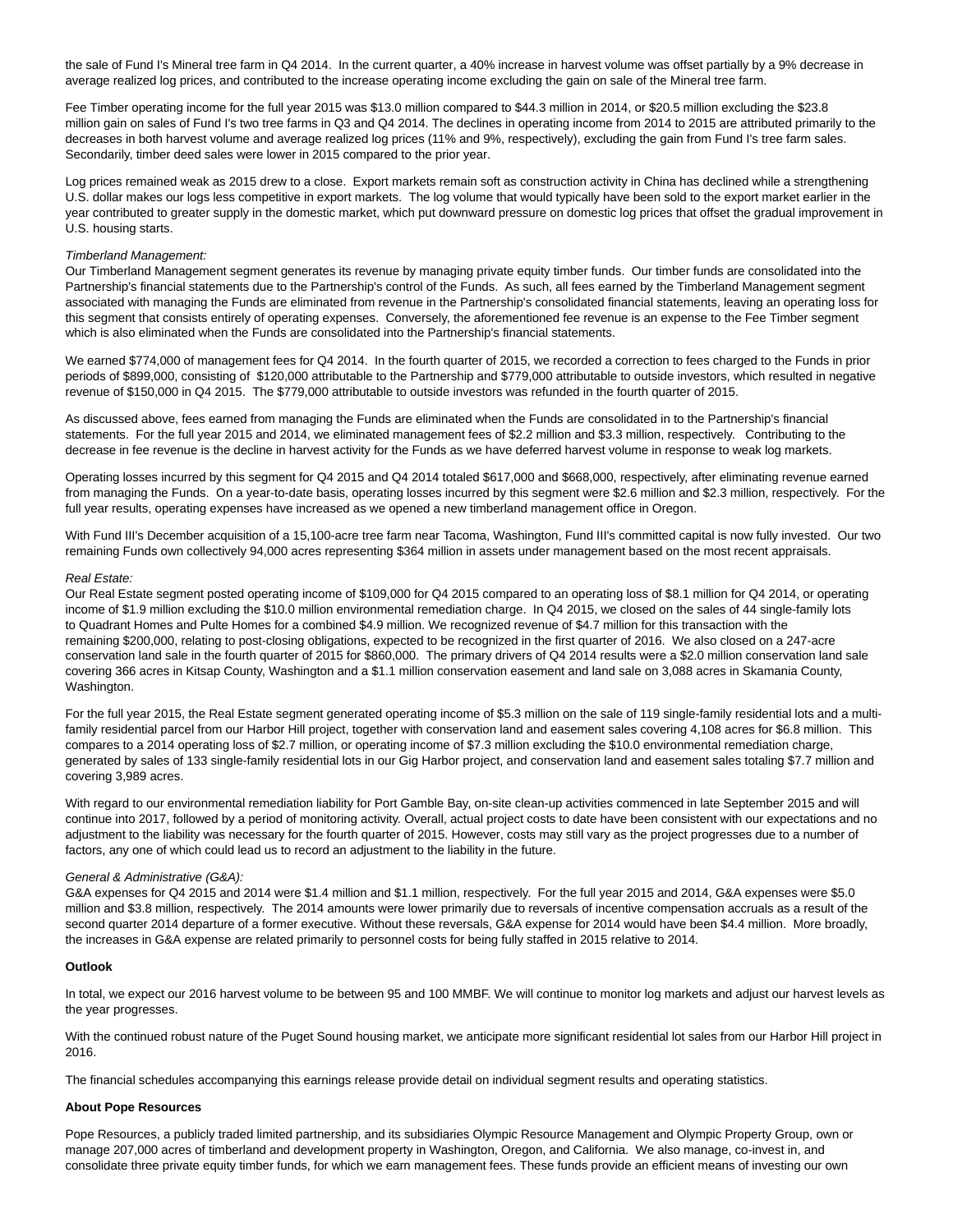the sale of Fund I's Mineral tree farm in Q4 2014. In the current quarter, a 40% increase in harvest volume was offset partially by a 9% decrease in average realized log prices, and contributed to the increase operating income excluding the gain on sale of the Mineral tree farm.

Fee Timber operating income for the full year 2015 was \$13.0 million compared to \$44.3 million in 2014, or \$20.5 million excluding the \$23.8 million gain on sales of Fund I's two tree farms in Q3 and Q4 2014. The declines in operating income from 2014 to 2015 are attributed primarily to the decreases in both harvest volume and average realized log prices (11% and 9%, respectively), excluding the gain from Fund I's tree farm sales. Secondarily, timber deed sales were lower in 2015 compared to the prior year.

Log prices remained weak as 2015 drew to a close. Export markets remain soft as construction activity in China has declined while a strengthening U.S. dollar makes our logs less competitive in export markets. The log volume that would typically have been sold to the export market earlier in the year contributed to greater supply in the domestic market, which put downward pressure on domestic log prices that offset the gradual improvement in U.S. housing starts.

#### Timberland Management:

Our Timberland Management segment generates its revenue by managing private equity timber funds. Our timber funds are consolidated into the Partnership's financial statements due to the Partnership's control of the Funds. As such, all fees earned by the Timberland Management segment associated with managing the Funds are eliminated from revenue in the Partnership's consolidated financial statements, leaving an operating loss for this segment that consists entirely of operating expenses. Conversely, the aforementioned fee revenue is an expense to the Fee Timber segment which is also eliminated when the Funds are consolidated into the Partnership's financial statements.

We earned \$774,000 of management fees for Q4 2014. In the fourth quarter of 2015, we recorded a correction to fees charged to the Funds in prior periods of \$899,000, consisting of \$120,000 attributable to the Partnership and \$779,000 attributable to outside investors, which resulted in negative revenue of \$150,000 in Q4 2015. The \$779,000 attributable to outside investors was refunded in the fourth quarter of 2015.

As discussed above, fees earned from managing the Funds are eliminated when the Funds are consolidated in to the Partnership's financial statements. For the full year 2015 and 2014, we eliminated management fees of \$2.2 million and \$3.3 million, respectively. Contributing to the decrease in fee revenue is the decline in harvest activity for the Funds as we have deferred harvest volume in response to weak log markets.

Operating losses incurred by this segment for Q4 2015 and Q4 2014 totaled \$617,000 and \$668,000, respectively, after eliminating revenue earned from managing the Funds. On a year-to-date basis, operating losses incurred by this segment were \$2.6 million and \$2.3 million, respectively. For the full year results, operating expenses have increased as we opened a new timberland management office in Oregon.

With Fund III's December acquisition of a 15,100-acre tree farm near Tacoma, Washington, Fund III's committed capital is now fully invested. Our two remaining Funds own collectively 94,000 acres representing \$364 million in assets under management based on the most recent appraisals.

#### Real Estate:

Our Real Estate segment posted operating income of \$109,000 for Q4 2015 compared to an operating loss of \$8.1 million for Q4 2014, or operating income of \$1.9 million excluding the \$10.0 million environmental remediation charge. In Q4 2015, we closed on the sales of 44 single-family lots to Quadrant Homes and Pulte Homes for a combined \$4.9 million. We recognized revenue of \$4.7 million for this transaction with the remaining \$200,000, relating to post-closing obligations, expected to be recognized in the first quarter of 2016. We also closed on a 247-acre conservation land sale in the fourth quarter of 2015 for \$860,000. The primary drivers of Q4 2014 results were a \$2.0 million conservation land sale covering 366 acres in Kitsap County, Washington and a \$1.1 million conservation easement and land sale on 3,088 acres in Skamania County, Washington.

For the full year 2015, the Real Estate segment generated operating income of \$5.3 million on the sale of 119 single-family residential lots and a multifamily residential parcel from our Harbor Hill project, together with conservation land and easement sales covering 4,108 acres for \$6.8 million. This compares to a 2014 operating loss of \$2.7 million, or operating income of \$7.3 million excluding the \$10.0 environmental remediation charge, generated by sales of 133 single-family residential lots in our Gig Harbor project, and conservation land and easement sales totaling \$7.7 million and covering 3,989 acres.

With regard to our environmental remediation liability for Port Gamble Bay, on-site clean-up activities commenced in late September 2015 and will continue into 2017, followed by a period of monitoring activity. Overall, actual project costs to date have been consistent with our expectations and no adjustment to the liability was necessary for the fourth quarter of 2015. However, costs may still vary as the project progresses due to a number of factors, any one of which could lead us to record an adjustment to the liability in the future.

#### General & Administrative (G&A):

G&A expenses for Q4 2015 and 2014 were \$1.4 million and \$1.1 million, respectively. For the full year 2015 and 2014, G&A expenses were \$5.0 million and \$3.8 million, respectively. The 2014 amounts were lower primarily due to reversals of incentive compensation accruals as a result of the second quarter 2014 departure of a former executive. Without these reversals, G&A expense for 2014 would have been \$4.4 million. More broadly, the increases in G&A expense are related primarily to personnel costs for being fully staffed in 2015 relative to 2014.

## **Outlook**

In total, we expect our 2016 harvest volume to be between 95 and 100 MMBF. We will continue to monitor log markets and adjust our harvest levels as the year progresses.

With the continued robust nature of the Puget Sound housing market, we anticipate more significant residential lot sales from our Harbor Hill project in 2016.

The financial schedules accompanying this earnings release provide detail on individual segment results and operating statistics.

## **About Pope Resources**

Pope Resources, a publicly traded limited partnership, and its subsidiaries Olympic Resource Management and Olympic Property Group, own or manage 207,000 acres of timberland and development property in Washington, Oregon, and California. We also manage, co-invest in, and consolidate three private equity timber funds, for which we earn management fees. These funds provide an efficient means of investing our own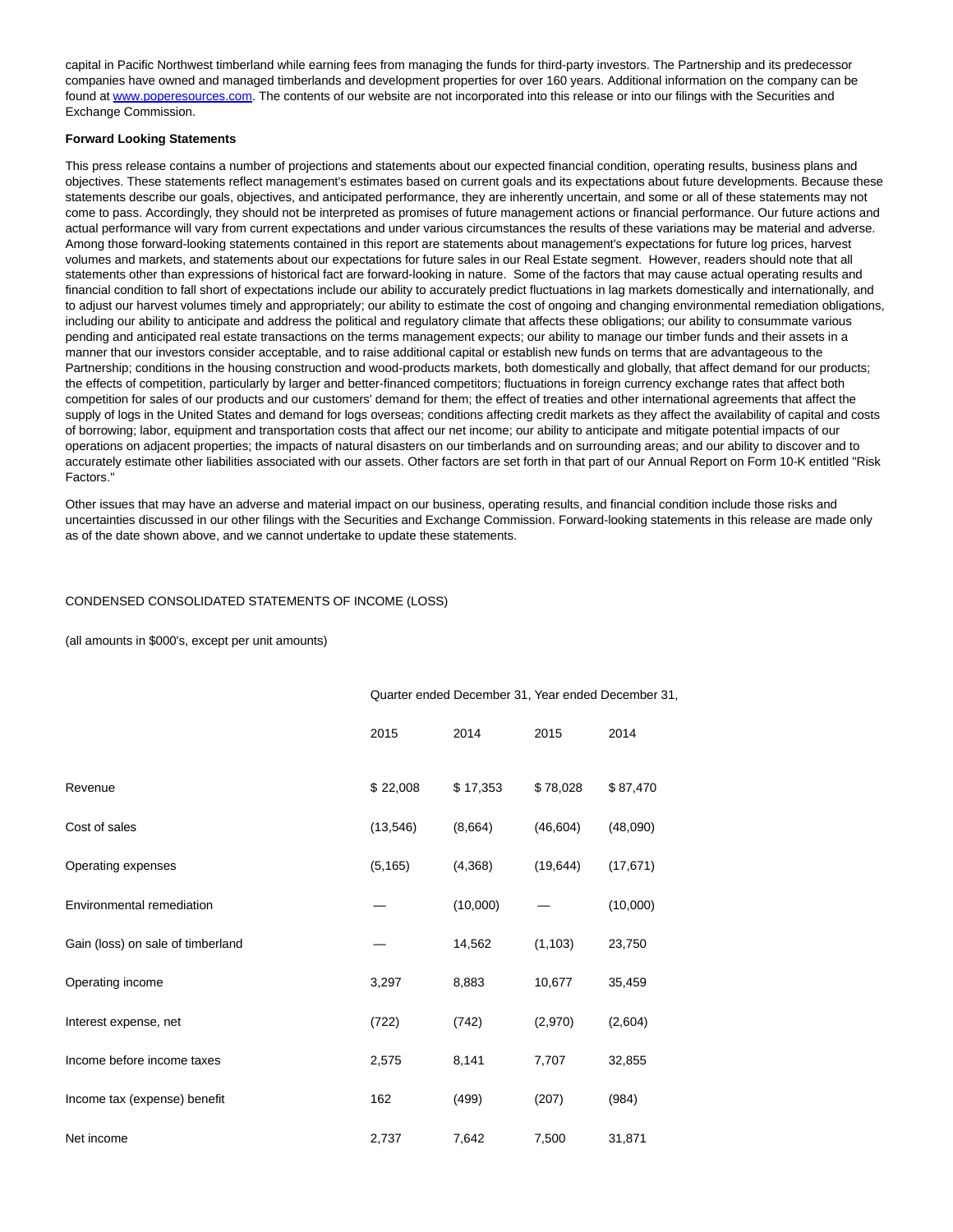capital in Pacific Northwest timberland while earning fees from managing the funds for third-party investors. The Partnership and its predecessor companies have owned and managed timberlands and development properties for over 160 years. Additional information on the company can be found at [www.poperesources.com.](http://www.poperesources.com/) The contents of our website are not incorporated into this release or into our filings with the Securities and Exchange Commission.

#### **Forward Looking Statements**

This press release contains a number of projections and statements about our expected financial condition, operating results, business plans and objectives. These statements reflect management's estimates based on current goals and its expectations about future developments. Because these statements describe our goals, objectives, and anticipated performance, they are inherently uncertain, and some or all of these statements may not come to pass. Accordingly, they should not be interpreted as promises of future management actions or financial performance. Our future actions and actual performance will vary from current expectations and under various circumstances the results of these variations may be material and adverse. Among those forward-looking statements contained in this report are statements about management's expectations for future log prices, harvest volumes and markets, and statements about our expectations for future sales in our Real Estate segment. However, readers should note that all statements other than expressions of historical fact are forward-looking in nature. Some of the factors that may cause actual operating results and financial condition to fall short of expectations include our ability to accurately predict fluctuations in lag markets domestically and internationally, and to adjust our harvest volumes timely and appropriately; our ability to estimate the cost of ongoing and changing environmental remediation obligations, including our ability to anticipate and address the political and regulatory climate that affects these obligations; our ability to consummate various pending and anticipated real estate transactions on the terms management expects; our ability to manage our timber funds and their assets in a manner that our investors consider acceptable, and to raise additional capital or establish new funds on terms that are advantageous to the Partnership; conditions in the housing construction and wood-products markets, both domestically and globally, that affect demand for our products; the effects of competition, particularly by larger and better-financed competitors; fluctuations in foreign currency exchange rates that affect both competition for sales of our products and our customers' demand for them; the effect of treaties and other international agreements that affect the supply of logs in the United States and demand for logs overseas; conditions affecting credit markets as they affect the availability of capital and costs of borrowing; labor, equipment and transportation costs that affect our net income; our ability to anticipate and mitigate potential impacts of our operations on adjacent properties; the impacts of natural disasters on our timberlands and on surrounding areas; and our ability to discover and to accurately estimate other liabilities associated with our assets. Other factors are set forth in that part of our Annual Report on Form 10-K entitled "Risk Factors."

Other issues that may have an adverse and material impact on our business, operating results, and financial condition include those risks and uncertainties discussed in our other filings with the Securities and Exchange Commission. Forward-looking statements in this release are made only as of the date shown above, and we cannot undertake to update these statements.

## CONDENSED CONSOLIDATED STATEMENTS OF INCOME (LOSS)

(all amounts in \$000's, except per unit amounts)

|                                   | Quarter ended December 31, Year ended December 31, |          |           |           |
|-----------------------------------|----------------------------------------------------|----------|-----------|-----------|
|                                   | 2015                                               | 2014     | 2015      | 2014      |
| Revenue                           | \$22,008                                           | \$17,353 | \$78,028  | \$87,470  |
| Cost of sales                     | (13, 546)                                          | (8,664)  | (46, 604) | (48,090)  |
| Operating expenses                | (5, 165)                                           | (4,368)  | (19, 644) | (17, 671) |
| Environmental remediation         |                                                    | (10,000) |           | (10,000)  |
| Gain (loss) on sale of timberland |                                                    | 14,562   | (1, 103)  | 23,750    |
| Operating income                  | 3,297                                              | 8,883    | 10,677    | 35,459    |
| Interest expense, net             | (722)                                              | (742)    | (2,970)   | (2,604)   |
| Income before income taxes        | 2,575                                              | 8,141    | 7,707     | 32,855    |
| Income tax (expense) benefit      | 162                                                | (499)    | (207)     | (984)     |
| Net income                        | 2,737                                              | 7,642    | 7,500     | 31,871    |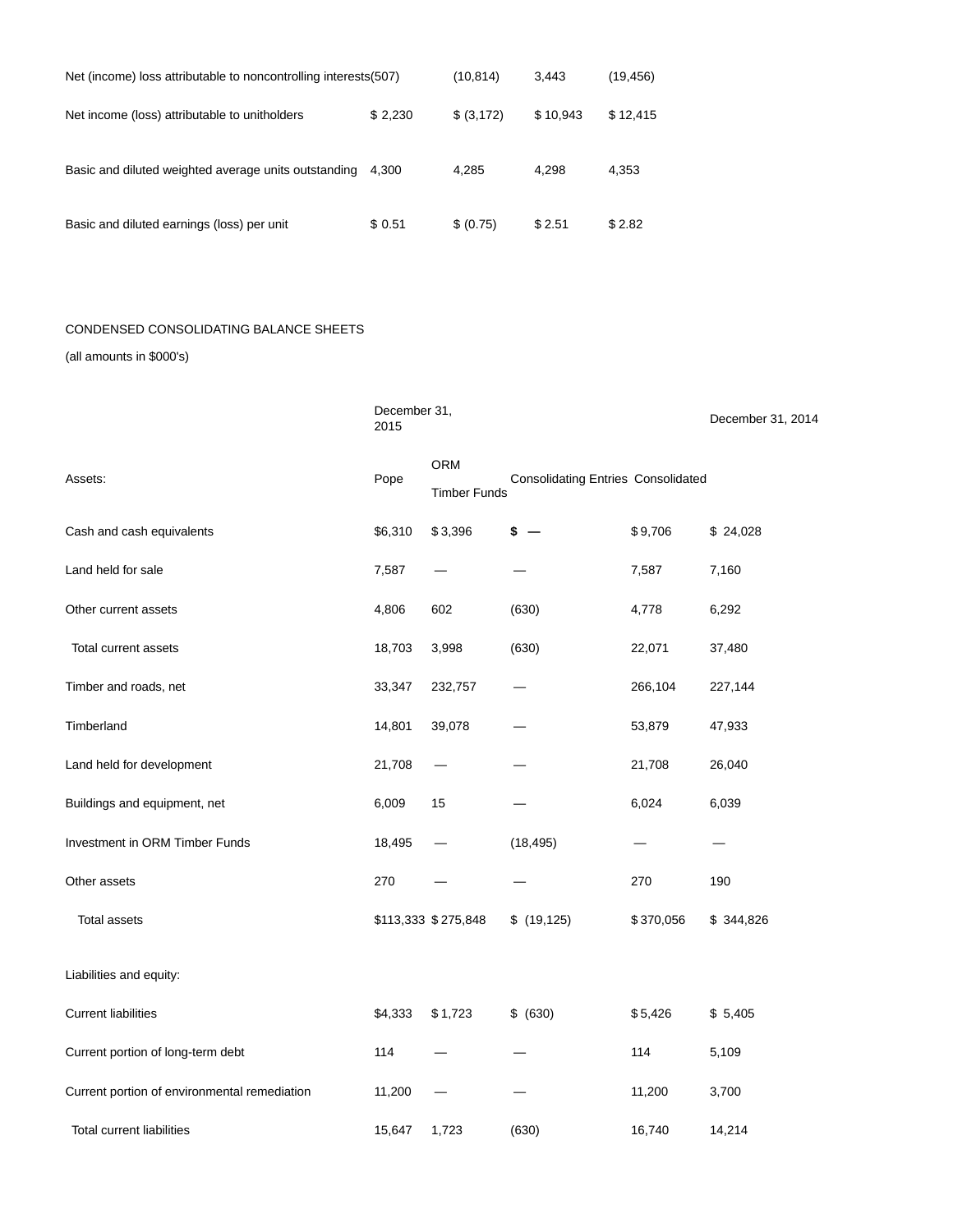| Net (income) loss attributable to noncontrolling interests (507) |         | (10, 814)   | 3.443    | (19, 456) |
|------------------------------------------------------------------|---------|-------------|----------|-----------|
| Net income (loss) attributable to unitholders                    | \$2,230 | \$ (3, 172) | \$10,943 | \$12,415  |
| Basic and diluted weighted average units outstanding             | 4.300   | 4.285       | 4.298    | 4,353     |
| Basic and diluted earnings (loss) per unit                       | \$ 0.51 | \$ (0.75)   | \$2.51   | \$2.82    |

## CONDENSED CONSOLIDATING BALANCE SHEETS

(all amounts in \$000's)

|                                              | December 31,<br>2015 |                                   |                                           |           | December 31, 2014 |
|----------------------------------------------|----------------------|-----------------------------------|-------------------------------------------|-----------|-------------------|
| Assets:                                      | Pope                 | <b>ORM</b><br><b>Timber Funds</b> | <b>Consolidating Entries Consolidated</b> |           |                   |
| Cash and cash equivalents                    | \$6,310              | \$3,396                           | \$                                        | \$9,706   | \$24,028          |
| Land held for sale                           | 7,587                |                                   |                                           | 7,587     | 7,160             |
| Other current assets                         | 4,806                | 602                               | (630)                                     | 4,778     | 6,292             |
| Total current assets                         | 18,703               | 3,998                             | (630)                                     | 22,071    | 37,480            |
| Timber and roads, net                        | 33,347               | 232,757                           |                                           | 266,104   | 227,144           |
| Timberland                                   | 14,801               | 39,078                            |                                           | 53,879    | 47,933            |
| Land held for development                    | 21,708               |                                   |                                           | 21,708    | 26,040            |
| Buildings and equipment, net                 | 6,009                | 15                                |                                           | 6,024     | 6,039             |
| Investment in ORM Timber Funds               | 18,495               |                                   | (18, 495)                                 |           |                   |
| Other assets                                 | 270                  |                                   |                                           | 270       | 190               |
| <b>Total assets</b>                          |                      | \$113,333 \$275,848               | \$(19, 125)                               | \$370,056 | \$344,826         |
| Liabilities and equity:                      |                      |                                   |                                           |           |                   |
| <b>Current liabilities</b>                   | \$4,333              | \$1,723                           | \$ (630)                                  | \$5,426   | \$5,405           |
| Current portion of long-term debt            | 114                  |                                   |                                           | 114       | 5,109             |
| Current portion of environmental remediation | 11,200               |                                   |                                           | 11,200    | 3,700             |
| <b>Total current liabilities</b>             | 15,647               | 1,723                             | (630)                                     | 16,740    | 14,214            |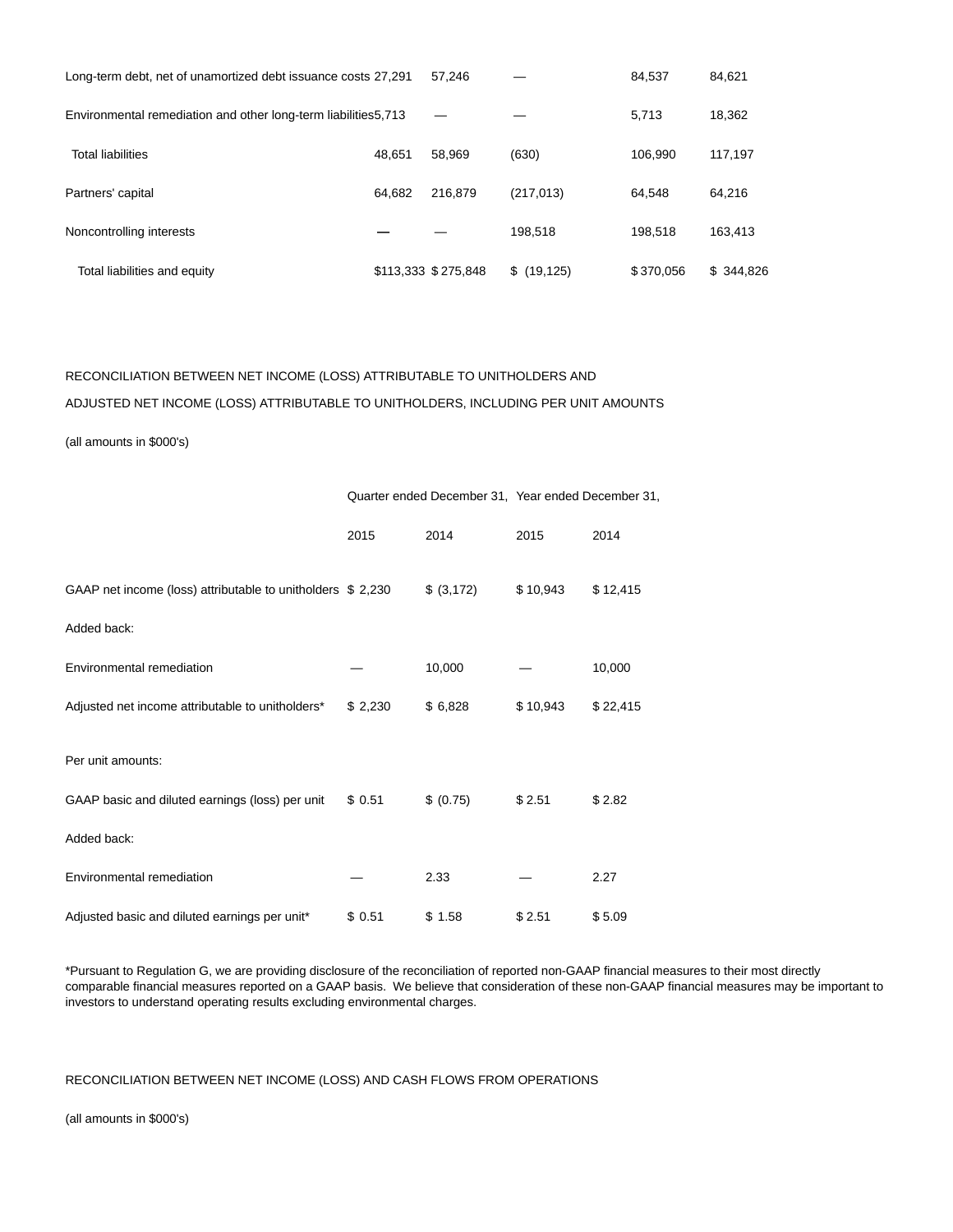| Long-term debt, net of unamortized debt issuance costs 27,291   |        | 57.246              |             | 84.537    | 84,621    |
|-----------------------------------------------------------------|--------|---------------------|-------------|-----------|-----------|
| Environmental remediation and other long-term liabilities 5,713 |        |                     |             | 5.713     | 18,362    |
| <b>Total liabilities</b>                                        | 48.651 | 58.969              | (630)       | 106.990   | 117.197   |
| Partners' capital                                               | 64.682 | 216.879             | (217, 013)  | 64.548    | 64,216    |
| Noncontrolling interests                                        |        |                     | 198.518     | 198.518   | 163.413   |
| Total liabilities and equity                                    |        | \$113,333 \$275,848 | \$(19, 125) | \$370,056 | \$344.826 |

# RECONCILIATION BETWEEN NET INCOME (LOSS) ATTRIBUTABLE TO UNITHOLDERS AND ADJUSTED NET INCOME (LOSS) ATTRIBUTABLE TO UNITHOLDERS, INCLUDING PER UNIT AMOUNTS

(all amounts in \$000's)

|                                                             |         |            | Quarter ended December 31, Year ended December 31, |          |  |
|-------------------------------------------------------------|---------|------------|----------------------------------------------------|----------|--|
|                                                             | 2015    | 2014       | 2015                                               | 2014     |  |
| GAAP net income (loss) attributable to unitholders \$ 2,230 |         | \$ (3,172) | \$10,943                                           | \$12,415 |  |
| Added back:                                                 |         |            |                                                    |          |  |
| Environmental remediation                                   |         | 10,000     |                                                    | 10,000   |  |
| Adjusted net income attributable to unitholders*            | \$2,230 | \$6,828    | \$10,943                                           | \$22,415 |  |
| Per unit amounts:                                           |         |            |                                                    |          |  |
| GAAP basic and diluted earnings (loss) per unit             | \$0.51  | \$ (0.75)  | \$2.51                                             | \$2.82   |  |
| Added back:                                                 |         |            |                                                    |          |  |
| Environmental remediation                                   |         | 2.33       |                                                    | 2.27     |  |
| Adjusted basic and diluted earnings per unit*               | \$ 0.51 | \$1.58     | \$2.51                                             | \$5.09   |  |

\*Pursuant to Regulation G, we are providing disclosure of the reconciliation of reported non-GAAP financial measures to their most directly comparable financial measures reported on a GAAP basis. We believe that consideration of these non-GAAP financial measures may be important to investors to understand operating results excluding environmental charges.

# RECONCILIATION BETWEEN NET INCOME (LOSS) AND CASH FLOWS FROM OPERATIONS

(all amounts in \$000's)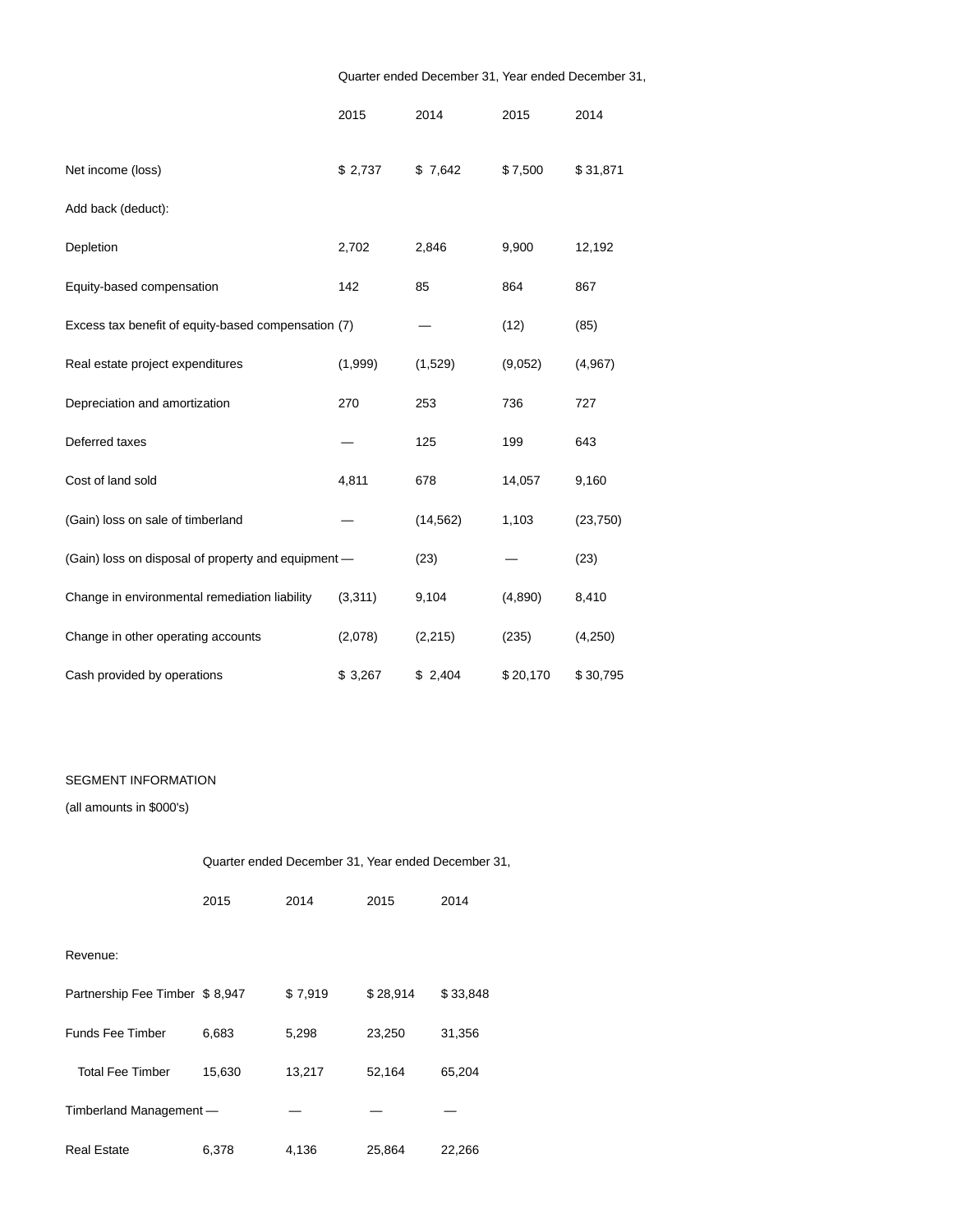# Quarter ended December 31, Year ended December 31,

|                                                     | 2015    | 2014      | 2015     | 2014      |
|-----------------------------------------------------|---------|-----------|----------|-----------|
| Net income (loss)                                   | \$2,737 | \$7,642   | \$7,500  | \$31,871  |
| Add back (deduct):                                  |         |           |          |           |
| Depletion                                           | 2,702   | 2,846     | 9,900    | 12,192    |
| Equity-based compensation                           | 142     | 85        | 864      | 867       |
| Excess tax benefit of equity-based compensation (7) |         |           | (12)     | (85)      |
| Real estate project expenditures                    | (1,999) | (1,529)   | (9,052)  | (4,967)   |
| Depreciation and amortization                       | 270     | 253       | 736      | 727       |
| Deferred taxes                                      |         | 125       | 199      | 643       |
| Cost of land sold                                   | 4,811   | 678       | 14,057   | 9,160     |
| (Gain) loss on sale of timberland                   |         | (14, 562) | 1,103    | (23, 750) |
| (Gain) loss on disposal of property and equipment - |         | (23)      |          | (23)      |
| Change in environmental remediation liability       | (3,311) | 9,104     | (4,890)  | 8,410     |
| Change in other operating accounts                  | (2,078) | (2, 215)  | (235)    | (4,250)   |
| Cash provided by operations                         | \$3,267 | \$2,404   | \$20,170 | \$30,795  |

# SEGMENT INFORMATION

(all amounts in \$000's)

| Quarter ended December 31, Year ended December 31, |  |
|----------------------------------------------------|--|
|----------------------------------------------------|--|

|                                | 2015   | 2014    | 2015     | 2014     |
|--------------------------------|--------|---------|----------|----------|
|                                |        |         |          |          |
| Revenue:                       |        |         |          |          |
| Partnership Fee Timber \$8,947 |        | \$7,919 | \$28,914 | \$33,848 |
| <b>Funds Fee Timber</b>        | 6,683  | 5,298   | 23,250   | 31,356   |
| <b>Total Fee Timber</b>        | 15,630 | 13,217  | 52,164   | 65,204   |
| Timberland Management-         |        |         |          |          |
| <b>Real Estate</b>             | 6,378  | 4,136   | 25,864   | 22,266   |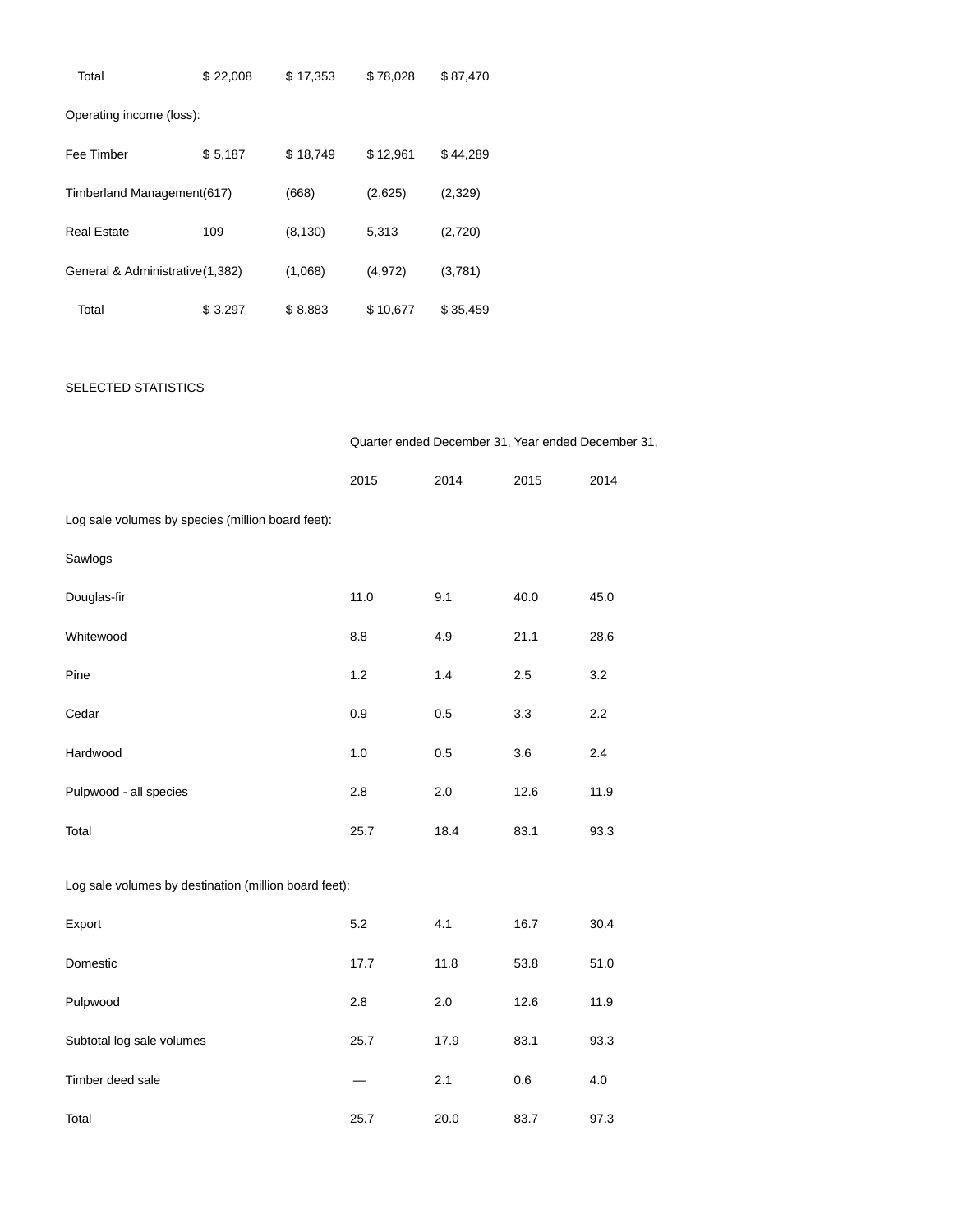| Total                            | \$22,008 | \$17,353 | \$78,028 | \$87,470 |
|----------------------------------|----------|----------|----------|----------|
| Operating income (loss):         |          |          |          |          |
| Fee Timber                       | \$5,187  | \$18,749 | \$12,961 | \$44,289 |
| Timberland Management(617)       |          | (668)    | (2,625)  | (2,329)  |
| <b>Real Estate</b>               | 109      | (8, 130) | 5,313    | (2,720)  |
| General & Administrative (1,382) |          | (1,068)  | (4, 972) | (3,781)  |
| Total                            | \$3,297  | \$8,883  | \$10,677 | \$35,459 |

# SELECTED STATISTICS

|                                                       | Quarter ended December 31, Year ended December 31, |      |      |      |
|-------------------------------------------------------|----------------------------------------------------|------|------|------|
|                                                       | 2015                                               | 2014 | 2015 | 2014 |
| Log sale volumes by species (million board feet):     |                                                    |      |      |      |
| Sawlogs                                               |                                                    |      |      |      |
| Douglas-fir                                           | 11.0                                               | 9.1  | 40.0 | 45.0 |
| Whitewood                                             | 8.8                                                | 4.9  | 21.1 | 28.6 |
| Pine                                                  | 1.2                                                | 1.4  | 2.5  | 3.2  |
| Cedar                                                 | 0.9                                                | 0.5  | 3.3  | 2.2  |
| Hardwood                                              | 1.0                                                | 0.5  | 3.6  | 2.4  |
| Pulpwood - all species                                | 2.8                                                | 2.0  | 12.6 | 11.9 |
| Total                                                 | 25.7                                               | 18.4 | 83.1 | 93.3 |
| Log sale volumes by destination (million board feet): |                                                    |      |      |      |
| Export                                                | 5.2                                                | 4.1  | 16.7 | 30.4 |
| Domestic                                              | 17.7                                               | 11.8 | 53.8 | 51.0 |
| Pulpwood                                              | 2.8                                                | 2.0  | 12.6 | 11.9 |
| Subtotal log sale volumes                             | 25.7                                               | 17.9 | 83.1 | 93.3 |
| Timber deed sale                                      |                                                    | 2.1  | 0.6  | 4.0  |
| Total                                                 | 25.7                                               | 20.0 | 83.7 | 97.3 |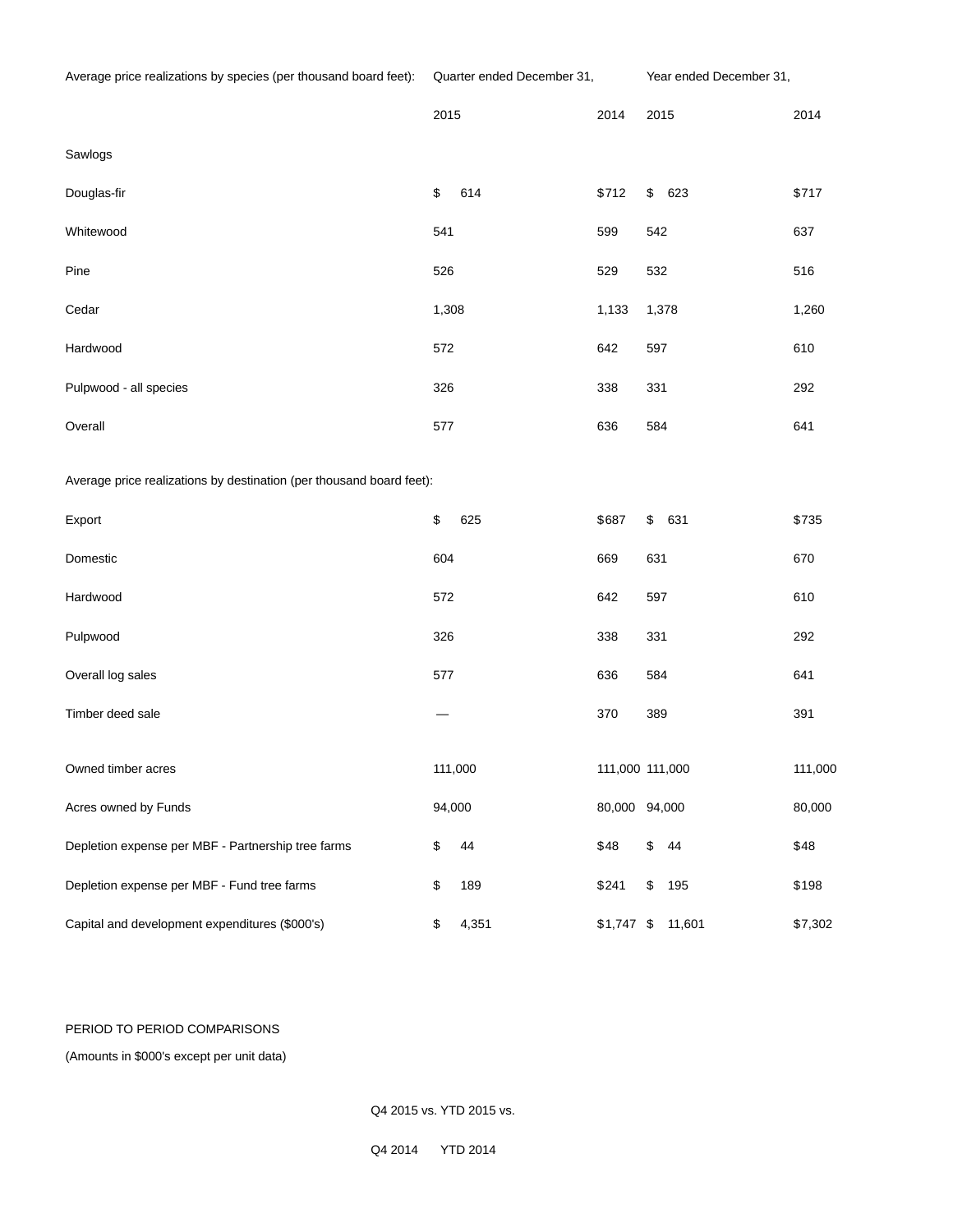|                                                                      | 2015        |  | 2014            | 2015      | 2014    |
|----------------------------------------------------------------------|-------------|--|-----------------|-----------|---------|
| Sawlogs                                                              |             |  |                 |           |         |
| Douglas-fir                                                          | \$<br>614   |  | \$712           | \$<br>623 | \$717   |
| Whitewood                                                            | 541         |  | 599             | 542       | 637     |
| Pine                                                                 | 526         |  | 529             | 532       | 516     |
| Cedar                                                                | 1,308       |  | 1,133           | 1,378     | 1,260   |
| Hardwood                                                             | 572         |  | 642             | 597       | 610     |
| Pulpwood - all species                                               | 326         |  | 338             | 331       | 292     |
| Overall                                                              | 577         |  | 636             | 584       | 641     |
| Average price realizations by destination (per thousand board feet): |             |  |                 |           |         |
| Export                                                               | \$<br>625   |  | \$687           | \$<br>631 | \$735   |
| Domestic                                                             | 604         |  | 669             | 631       | 670     |
| Hardwood                                                             | 572         |  | 642             | 597       | 610     |
| Pulpwood                                                             | 326         |  | 338             | 331       | 292     |
| Overall log sales                                                    | 577         |  | 636             | 584       | 641     |
| Timber deed sale                                                     |             |  | 370             | 389       | 391     |
| Owned timber acres                                                   | 111,000     |  | 111,000 111,000 |           | 111,000 |
| Acres owned by Funds                                                 | 94,000      |  | 80,000 94,000   |           | 80,000  |
| Depletion expense per MBF - Partnership tree farms                   | \$<br>44    |  | \$48            | \$<br>44  | \$48    |
| Depletion expense per MBF - Fund tree farms                          | \$<br>189   |  | \$241           | \$<br>195 | \$198   |
| Capital and development expenditures (\$000's)                       | \$<br>4,351 |  | $$1,747$ \$     | 11,601    | \$7,302 |

# PERIOD TO PERIOD COMPARISONS

(Amounts in \$000's except per unit data)

Q4 2015 vs. YTD 2015 vs.

Q4 2014 YTD 2014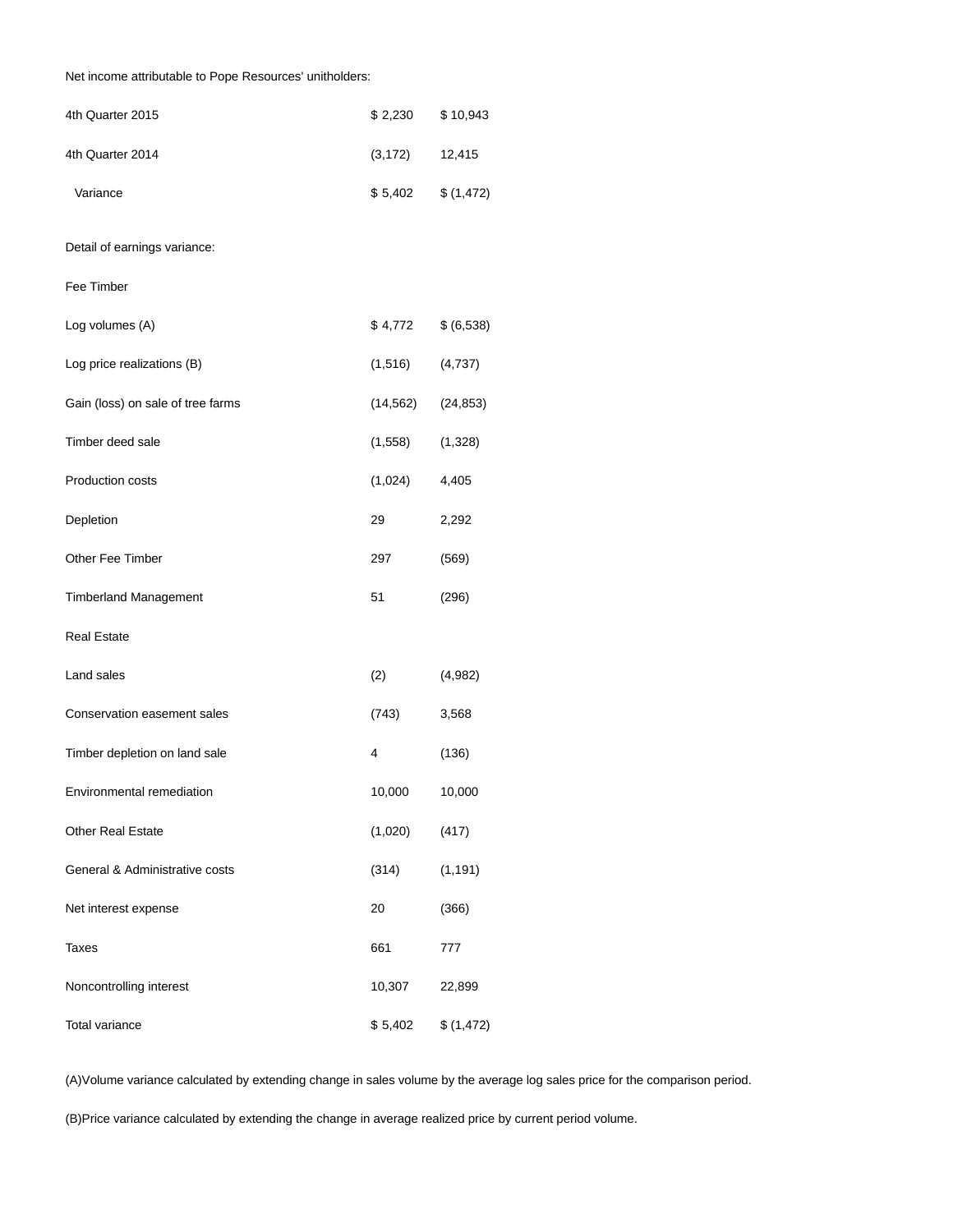# Net income attributable to Pope Resources' unitholders:

| 4th Quarter 2015                  | \$2,230   | \$10,943   |
|-----------------------------------|-----------|------------|
| 4th Quarter 2014                  | (3, 172)  | 12,415     |
| Variance                          | \$5,402   | \$(1,472)  |
| Detail of earnings variance:      |           |            |
| Fee Timber                        |           |            |
| Log volumes (A)                   | \$4,772   | \$ (6,538) |
| Log price realizations (B)        | (1, 516)  | (4, 737)   |
| Gain (loss) on sale of tree farms | (14, 562) | (24, 853)  |
| Timber deed sale                  | (1, 558)  | (1,328)    |
| Production costs                  | (1,024)   | 4,405      |
| Depletion                         | 29        | 2,292      |
| Other Fee Timber                  | 297       | (569)      |
| <b>Timberland Management</b>      | 51        | (296)      |
| <b>Real Estate</b>                |           |            |
| Land sales                        | (2)       | (4,982)    |
| Conservation easement sales       | (743)     | 3,568      |
| Timber depletion on land sale     | 4         | (136)      |
| Environmental remediation         | 10,000    | 10,000     |
| Other Real Estate                 | (1,020)   | (417)      |
| General & Administrative costs    | (314)     | (1, 191)   |
| Net interest expense              | 20        | (366)      |
| Taxes                             | 661       | 777        |
| Noncontrolling interest           | 10,307    | 22,899     |
| Total variance                    | \$5,402   | \$(1,472)  |

(A)Volume variance calculated by extending change in sales volume by the average log sales price for the comparison period.

(B)Price variance calculated by extending the change in average realized price by current period volume.